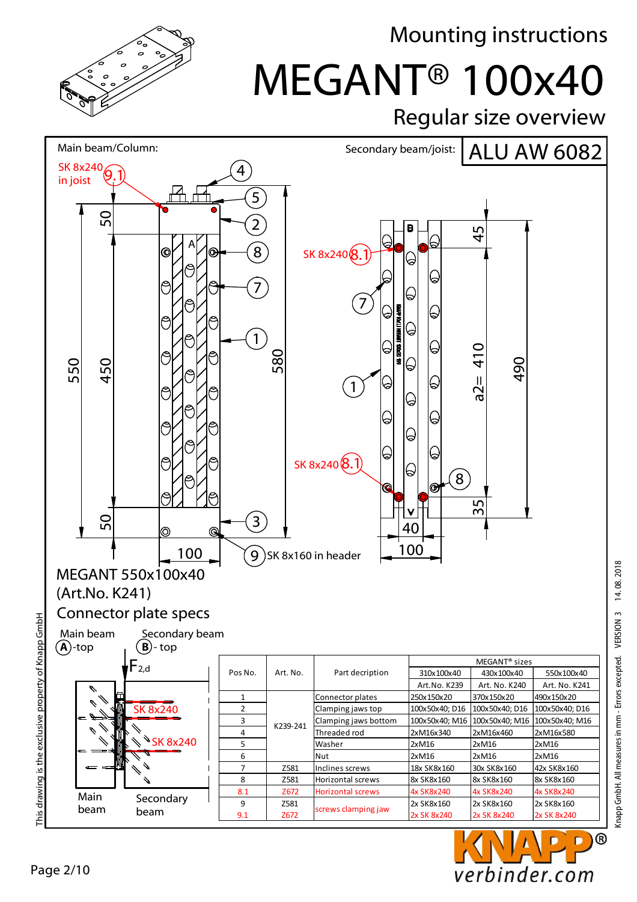

## MEGANT® 100x40 Mounting instructions

Regular size overview



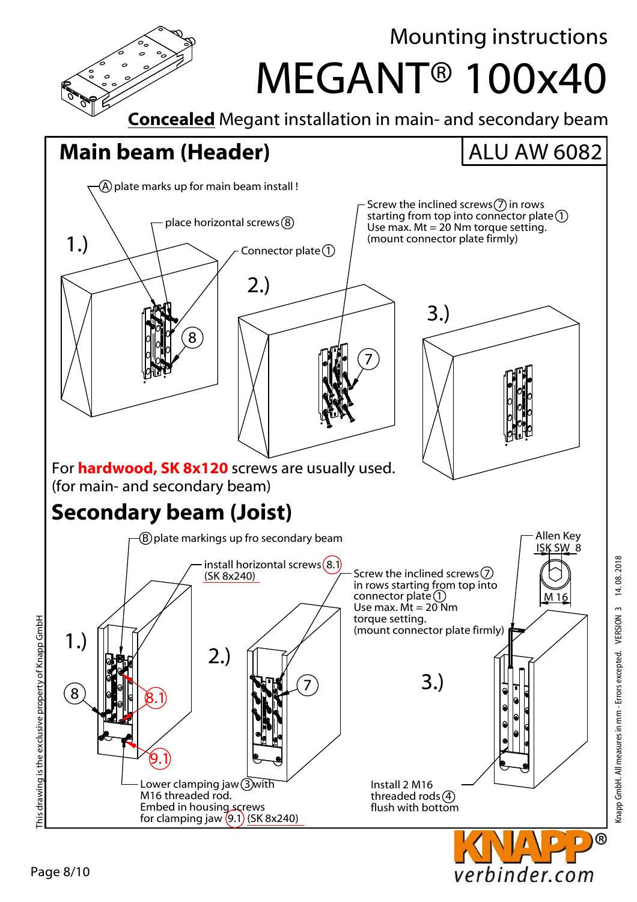

Knapp GmbH. All measures in mm - Errors excepted. VERSION 3 14. 08. 2018

verbinder.com

14.08.2018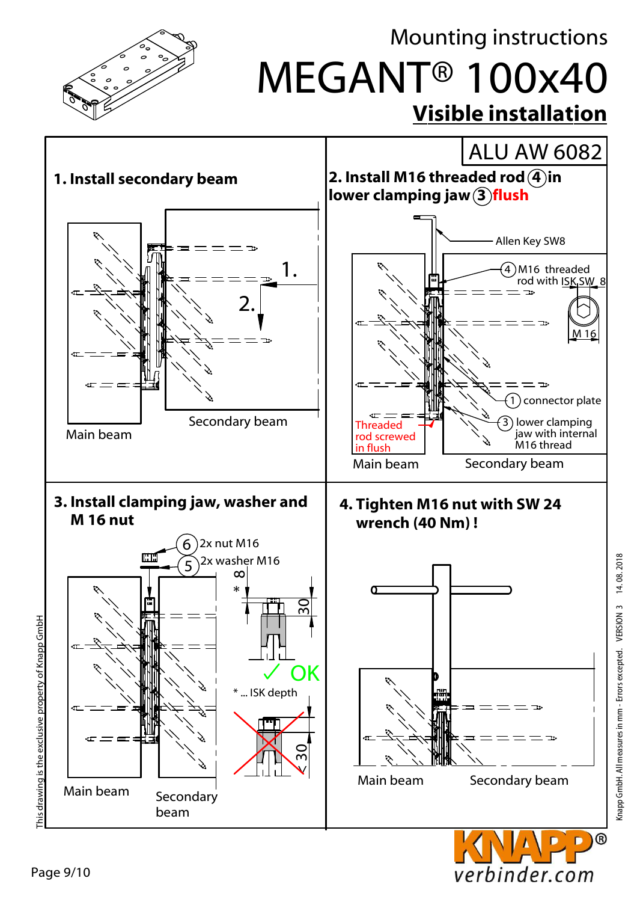

verbinder.com